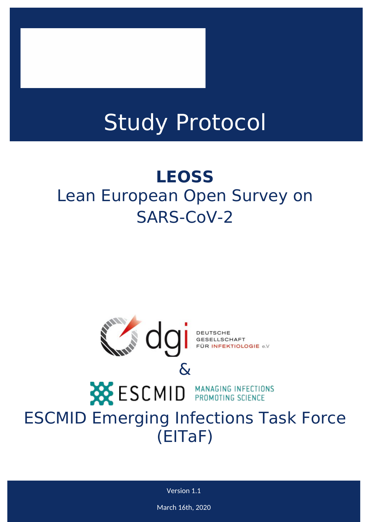# Study Protocol

## **LEOSS** Lean European Open Survey on SARS-CoV-2



## **ESCMID MANAGING INFECTIONS** ESCMID Emerging Infections Task Force (EITaF)

Version 1.1

March 16th, 2020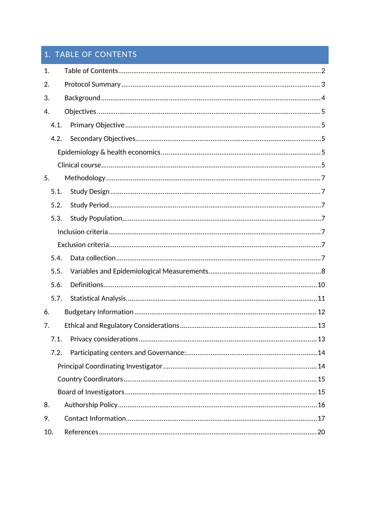## 1. TABLE OF CONTENTS

| 1.   |  |  |  |  |  |
|------|--|--|--|--|--|
| 2.   |  |  |  |  |  |
| 3.   |  |  |  |  |  |
| 4.   |  |  |  |  |  |
| 4.1. |  |  |  |  |  |
| 4.2. |  |  |  |  |  |
|      |  |  |  |  |  |
|      |  |  |  |  |  |
| 5.   |  |  |  |  |  |
| 5.1. |  |  |  |  |  |
| 5.2. |  |  |  |  |  |
| 5.3. |  |  |  |  |  |
|      |  |  |  |  |  |
|      |  |  |  |  |  |
| 5.4. |  |  |  |  |  |
| 5.5. |  |  |  |  |  |
| 5.6. |  |  |  |  |  |
| 5.7. |  |  |  |  |  |
| 6.   |  |  |  |  |  |
| 7.   |  |  |  |  |  |
| 7.1. |  |  |  |  |  |
| 7.2. |  |  |  |  |  |
|      |  |  |  |  |  |
|      |  |  |  |  |  |
|      |  |  |  |  |  |
| 8.   |  |  |  |  |  |
| 9.   |  |  |  |  |  |
| 10.  |  |  |  |  |  |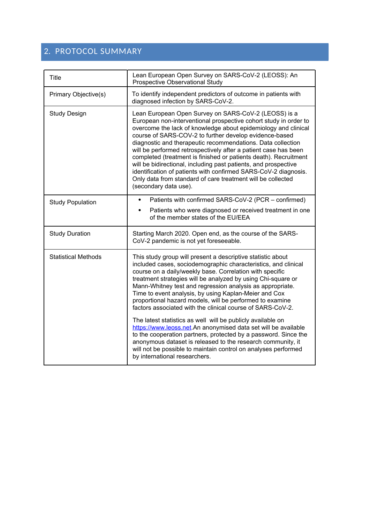### 2. PROTOCOL SUMMARY

| <b>Title</b>               | Lean European Open Survey on SARS-CoV-2 (LEOSS): An<br>Prospective Observational Study                                                                                                                                                                                                                                                                                                                                                                                                                                                                                                                                                                                                   |
|----------------------------|------------------------------------------------------------------------------------------------------------------------------------------------------------------------------------------------------------------------------------------------------------------------------------------------------------------------------------------------------------------------------------------------------------------------------------------------------------------------------------------------------------------------------------------------------------------------------------------------------------------------------------------------------------------------------------------|
| Primary Objective(s)       | To identify independent predictors of outcome in patients with<br>diagnosed infection by SARS-CoV-2.                                                                                                                                                                                                                                                                                                                                                                                                                                                                                                                                                                                     |
| <b>Study Design</b>        | Lean European Open Survey on SARS-CoV-2 (LEOSS) is a<br>European non-interventional prospective cohort study in order to<br>overcome the lack of knowledge about epidemiology and clinical<br>course of SARS-COV-2 to further develop evidence-based<br>diagnostic and therapeutic recommendations. Data collection<br>will be performed retrospectively after a patient case has been<br>completed (treatment is finished or patients death). Recruitment<br>will be bidirectional, including past patients, and prospective<br>identification of patients with confirmed SARS-CoV-2 diagnosis.<br>Only data from standard of care treatment will be collected<br>(secondary data use). |
| <b>Study Population</b>    | Patients with confirmed SARS-CoV-2 (PCR – confirmed)<br>$\bullet$<br>Patients who were diagnosed or received treatment in one<br>$\bullet$<br>of the member states of the EU/EEA                                                                                                                                                                                                                                                                                                                                                                                                                                                                                                         |
| <b>Study Duration</b>      | Starting March 2020. Open end, as the course of the SARS-<br>CoV-2 pandemic is not yet foreseeable.                                                                                                                                                                                                                                                                                                                                                                                                                                                                                                                                                                                      |
| <b>Statistical Methods</b> | This study group will present a descriptive statistic about<br>included cases, sociodemographic characteristics, and clinical<br>course on a daily/weekly base. Correlation with specific<br>treatment strategies will be analyzed by using Chi-square or<br>Mann-Whitney test and regression analysis as appropriate.<br>Time to event analysis, by using Kaplan-Meier and Cox<br>proportional hazard models, will be performed to examine<br>factors associated with the clinical course of SARS-CoV-2.<br>The latest statistics as well will be publicly available on                                                                                                                 |
|                            | https://www.leoss.net.An anonymised data set will be available<br>to the cooperation partners, protected by a password. Since the<br>anonymous dataset is released to the research community, it<br>will not be possible to maintain control on analyses performed<br>by international researchers.                                                                                                                                                                                                                                                                                                                                                                                      |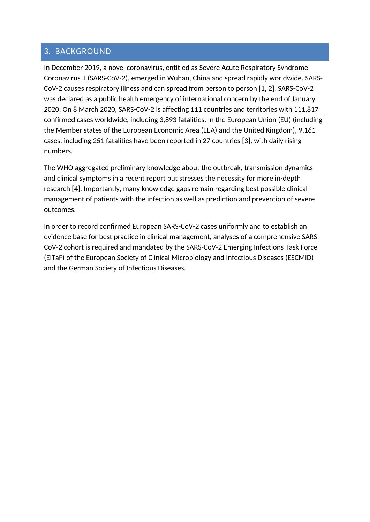#### 3. BACKGROUND

In December 2019, a novel coronavirus, entitled as Severe Acute Respiratory Syndrome Coronavirus II (SARS-CoV-2), emerged in Wuhan, China and spread rapidly worldwide. SARS-CoV-2 causes respiratory illness and can spread from person to person [1, 2]. SARS-CoV-2 was declared as a public health emergency of international concern by the end of January 2020. On 8 March 2020, SARS-CoV-2 is affecting 111 countries and territories with 111,817 confirmed cases worldwide, including 3,893 fatalities. In the European Union (EU) (including the Member states of the European Economic Area (EEA) and the United Kingdom), 9,161 cases, including 251 fatalities have been reported in 27 countries [3], with daily rising numbers.

The WHO aggregated preliminary knowledge about the outbreak, transmission dynamics and clinical symptoms in a recent report but stresses the necessity for more in-depth research [4]. Importantly, many knowledge gaps remain regarding best possible clinical management of patients with the infection as well as prediction and prevention of severe outcomes.

In order to record confirmed European SARS-CoV-2 cases uniformly and to establish an evidence base for best practice in clinical management, analyses of a comprehensive SARS-CoV-2 cohort is required and mandated by the SARS-CoV-2 Emerging Infections Task Force (EITaF) of the European Society of Clinical Microbiology and Infectious Diseases (ESCMID) and the German Society of Infectious Diseases.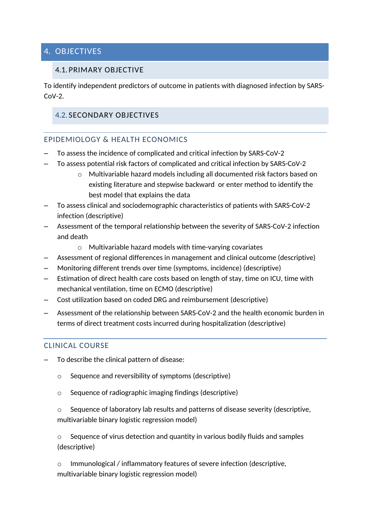#### 4. OBJECTIVES

#### 4.1. PRIMARY OBJECTIVE

To identify independent predictors of outcome in patients with diagnosed infection by SARS- $C_0V-2$ 

#### 4.2. SECONDARY OBJECTIVES

#### EPIDEMIOLOGY & HEALTH ECONOMICS

- To assess the incidence of complicated and critical infection by SARS-CoV-2
- To assess potential risk factors of complicated and critical infection by SARS-CoV-2
	- o Multivariable hazard models including all documented risk factors based on existing literature and stepwise backward or enter method to identify the best model that explains the data
- To assess clinical and sociodemographic characteristics of patients with SARS-CoV-2 infection (descriptive)
- Assessment of the temporal relationship between the severity of SARS-CoV-2 infection and death
	- o Multivariable hazard models with time-varying covariates
- Assessment of regional differences in management and clinical outcome (descriptive)
- Monitoring different trends over time (symptoms, incidence) (descriptive)
- Estimation of direct health care costs based on length of stay, time on ICU, time with mechanical ventilation, time on ECMO (descriptive)
- Cost utilization based on coded DRG and reimbursement (descriptive)
- Assessment of the relationship between SARS-CoV-2 and the health economic burden in terms of direct treatment costs incurred during hospitalization (descriptive)

#### CLINICAL COURSE

- To describe the clinical pattern of disease:
	- o Sequence and reversibility of symptoms (descriptive)
	- o Sequence of radiographic imaging findings (descriptive)
	- $\circ$  Sequence of laboratory lab results and patterns of disease severity (descriptive, multivariable binary logistic regression model)

 $\circ$  Sequence of virus detection and quantity in various bodily fluids and samples (descriptive)

Immunological / inflammatory features of severe infection (descriptive, multivariable binary logistic regression model)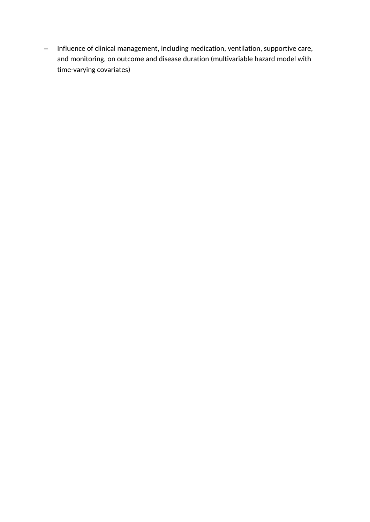– Influence of clinical management, including medication, ventilation, supportive care, and monitoring, on outcome and disease duration (multivariable hazard model with time-varying covariates)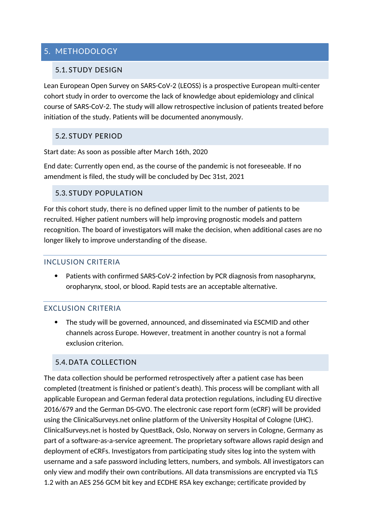#### 5. METHODOLOGY

#### 5.1. STUDY DESIGN

Lean European Open Survey on SARS-CoV-2 (LEOSS) is a prospective European multi-center cohort study in order to overcome the lack of knowledge about epidemiology and clinical course of SARS-CoV-2. The study will allow retrospective inclusion of patients treated before initiation of the study. Patients will be documented anonymously.

#### 5.2. STUDY PERIOD

Start date: As soon as possible after March 16th, 2020

End date: Currently open end, as the course of the pandemic is not foreseeable. If no amendment is filed, the study will be concluded by Dec 31st, 2021

#### 5.3. STUDY POPULATION

For this cohort study, there is no defined upper limit to the number of patients to be recruited. Higher patient numbers will help improving prognostic models and pattern recognition. The board of investigators will make the decision, when additional cases are no longer likely to improve understanding of the disease.

#### INCLUSION CRITERIA

 Patients with confirmed SARS-CoV-2 infection by PCR diagnosis from nasopharynx, oropharynx, stool, or blood. Rapid tests are an acceptable alternative.

#### EXCLUSION CRITERIA

 The study will be governed, announced, and disseminated via ESCMID and other channels across Europe. However, treatment in another country is not a formal exclusion criterion.

#### 5.4. DATA COLLECTION

The data collection should be performed retrospectively after a patient case has been completed (treatment is finished or patient's death). This process will be compliant with all applicable European and German federal data protection regulations, including EU directive 2016/679 and the German DS-GVO. The electronic case report form (eCRF) will be provided using the ClinicalSurveys.net online platform of the University Hospital of Cologne (UHC). ClinicalSurveys.net is hosted by QuestBack, Oslo, Norway on servers in Cologne, Germany as part of a software-as-a-service agreement. The proprietary software allows rapid design and deployment of eCRFs. Investigators from participating study sites log into the system with username and a safe password including letters, numbers, and symbols. All investigators can only view and modify their own contributions. All data transmissions are encrypted via TLS 1.2 with an AES 256 GCM bit key and ECDHE RSA key exchange; certificate provided by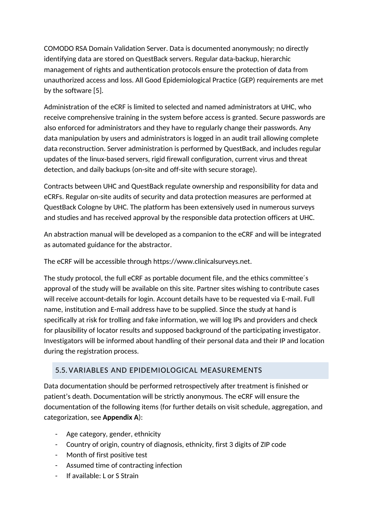COMODO RSA Domain Validation Server. Data is documented anonymously; no directly identifying data are stored on QuestBack servers. Regular data-backup, hierarchic management of rights and authentication protocols ensure the protection of data from unauthorized access and loss. All Good Epidemiological Practice (GEP) requirements are met by the software [5].

Administration of the eCRF is limited to selected and named administrators at UHC, who receive comprehensive training in the system before access is granted. Secure passwords are also enforced for administrators and they have to regularly change their passwords. Any data manipulation by users and administrators is logged in an audit trail allowing complete data reconstruction. Server administration is performed by QuestBack, and includes regular updates of the linux-based servers, rigid firewall configuration, current virus and threat detection, and daily backups (on-site and off-site with secure storage).

Contracts between UHC and QuestBack regulate ownership and responsibility for data and eCRFs. Regular on-site audits of security and data protection measures are performed at QuestBack Cologne by UHC. The platform has been extensively used in numerous surveys and studies and has received approval by the responsible data protection officers at UHC.

An abstraction manual will be developed as a companion to the eCRF and will be integrated as automated guidance for the abstractor.

The eCRF will be accessible through https://www.clinicalsurveys.net.

The study protocol, the full eCRF as portable document file, and the ethics committee´s approval of the study will be available on this site. Partner sites wishing to contribute cases will receive account-details for login. Account details have to be requested via E-mail. Full name, institution and E-mail address have to be supplied. Since the study at hand is specifically at risk for trolling and fake information, we will log IPs and providers and check for plausibility of locator results and supposed background of the participating investigator. Investigators will be informed about handling of their personal data and their IP and location during the registration process.

#### 5.5. VARIABLES AND EPIDEMIOLOGICAL MEASUREMENTS

Data documentation should be performed retrospectively after treatment is finished or patient's death. Documentation will be strictly anonymous. The eCRF will ensure the documentation of the following items (for further details on visit schedule, aggregation, and categorization, see **Appendix A**):

- Age category, gender, ethnicity
- Country of origin, country of diagnosis, ethnicity, first 3 digits of ZIP code
- Month of first positive test
- Assumed time of contracting infection
- If available: L or S Strain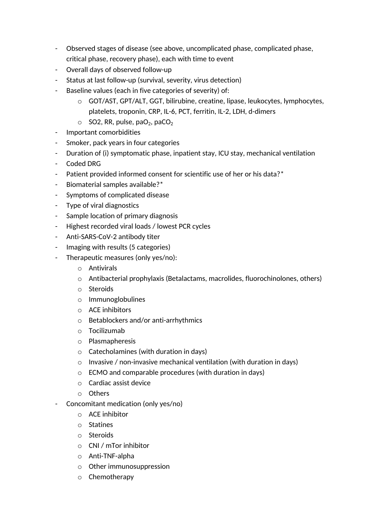- Observed stages of disease (see above, uncomplicated phase, complicated phase, critical phase, recovery phase), each with time to event
- Overall days of observed follow-up
- Status at last follow-up (survival, severity, virus detection)
- Baseline values (each in five categories of severity) of:
	- o GOT/AST, GPT/ALT, GGT, bilirubine, creatine, lipase, leukocytes, lymphocytes, platelets, troponin, CRP, IL-6, PCT, ferritin, IL-2, LDH, d-dimers
	- $\circ$  SO2, RR, pulse, paO<sub>2</sub>, paCO<sub>2</sub>
- Important comorbidities
- Smoker, pack years in four categories
- Duration of (i) symptomatic phase, inpatient stay, ICU stay, mechanical ventilation
- Coded DRG
- Patient provided informed consent for scientific use of her or his data?\*
- Biomaterial samples available?\*
- Symptoms of complicated disease
- Type of viral diagnostics
- Sample location of primary diagnosis
- Highest recorded viral loads / lowest PCR cycles
- Anti-SARS-CoV-2 antibody titer
- Imaging with results (5 categories)
- Therapeutic measures (only yes/no):
	- o Antivirals
	- $\circ$  Antibacterial prophylaxis (Betalactams, macrolides, fluorochinolones, others)
	- o Steroids
	- o Immunoglobulines
	- o ACE inhibitors
	- o Betablockers and/or anti-arrhythmics
	- o Tocilizumab
	- o Plasmapheresis
	- o Catecholamines (with duration in days)
	- o Invasive / non-invasive mechanical ventilation (with duration in days)
	- o ECMO and comparable procedures (with duration in days)
	- o Cardiac assist device
	- o Others
- Concomitant medication (only yes/no)
	- o ACE inhibitor
	- o Statines
	- o Steroids
	- o CNI / mTor inhibitor
	- o Anti-TNF-alpha
	- o Other immunosuppression
	- o Chemotherapy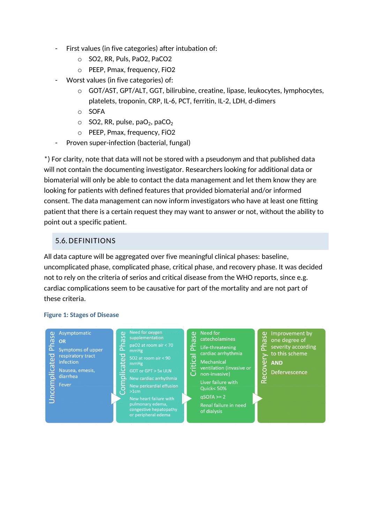- First values (in five categories) after intubation of:
	- o SO2, RR, Puls, PaO2, PaCO2
	- o PEEP, Pmax, frequency, FiO2
- Worst values (in five categories) of:
	- o GOT/AST, GPT/ALT, GGT, bilirubine, creatine, lipase, leukocytes, lymphocytes, platelets, troponin, CRP, IL-6, PCT, ferritin, IL-2, LDH, d-dimers
	- o SOFA
	- $\circ$  SO2, RR, pulse, paO<sub>2</sub>, paCO<sub>2</sub>
	- o PEEP, Pmax, frequency, FiO2
- Proven super-infection (bacterial, fungal)

\*) For clarity, note that data will not be stored with a pseudonym and that published data will not contain the documenting investigator. Researchers looking for additional data or biomaterial will only be able to contact the data management and let them know they are looking for patients with defined features that provided biomaterial and/or informed consent. The data management can now inform investigators who have at least one fitting patient that there is a certain request they may want to answer or not, without the ability to point out a specific patient.

#### 5.6. DEFINITIONS

All data capture will be aggregated over five meaningful clinical phases: baseline, uncomplicated phase, complicated phase, critical phase, and recovery phase. It was decided not to rely on the criteria of serios and critical disease from the WHO reports, since e.g. cardiac complications seem to be causative for part of the mortality and are not part of these criteria.

#### **Figure 1: Stages of Disease**

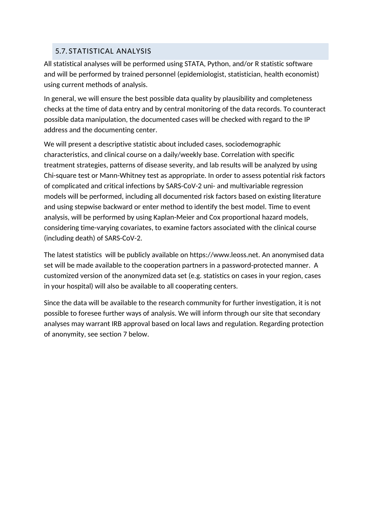#### 5.7. STATISTICAL ANALYSIS

All statistical analyses will be performed using STATA, Python, and/or R statistic software and will be performed by trained personnel (epidemiologist, statistician, health economist) using current methods of analysis.

In general, we will ensure the best possible data quality by plausibility and completeness checks at the time of data entry and by central monitoring of the data records. To counteract possible data manipulation, the documented cases will be checked with regard to the IP address and the documenting center.

We will present a descriptive statistic about included cases, sociodemographic characteristics, and clinical course on a daily/weekly base. Correlation with specific treatment strategies, patterns of disease severity, and lab results will be analyzed by using Chi-square test or Mann-Whitney test as appropriate. In order to assess potential risk factors of complicated and critical infections by SARS-CoV-2 uni- and multivariable regression models will be performed, including all documented risk factors based on existing literature and using stepwise backward or enter method to identify the best model. Time to event analysis, will be performed by using Kaplan-Meier and Cox proportional hazard models, considering time-varying covariates, to examine factors associated with the clinical course (including death) of SARS-CoV-2.

The latest statistics will be publicly available on https://www.leoss.net. An anonymised data set will be made available to the cooperation partners in a password-protected manner. A customized version of the anonymized data set (e.g. statistics on cases in your region, cases in your hospital) will also be available to all cooperating centers.

Since the data will be available to the research community for further investigation, it is not possible to foresee further ways of analysis. We will inform through our site that secondary analyses may warrant IRB approval based on local laws and regulation. Regarding protection of anonymity, see section 7 below.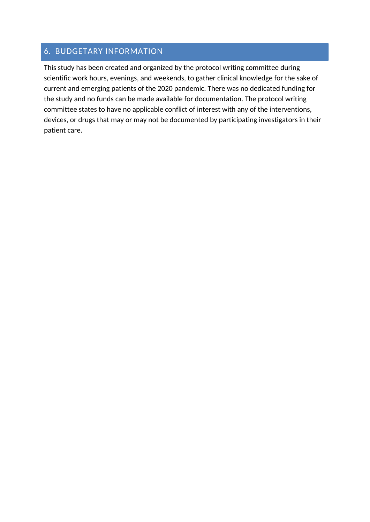#### 6. BUDGETARY INFORMATION

This study has been created and organized by the protocol writing committee during scientific work hours, evenings, and weekends, to gather clinical knowledge for the sake of current and emerging patients of the 2020 pandemic. There was no dedicated funding for the study and no funds can be made available for documentation. The protocol writing committee states to have no applicable conflict of interest with any of the interventions, devices, or drugs that may or may not be documented by participating investigators in their patient care.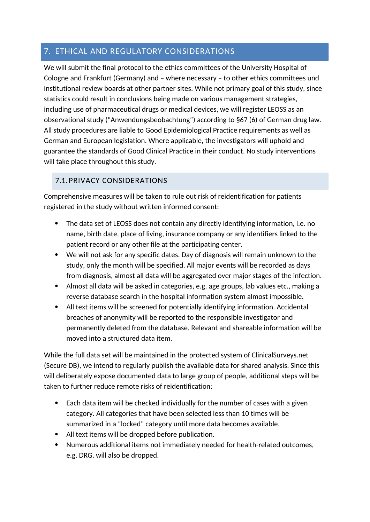#### 7. ETHICAL AND REGULATORY CONSIDERATIONS

We will submit the final protocol to the ethics committees of the University Hospital of Cologne and Frankfurt (Germany) and – where necessary – to other ethics committees und institutional review boards at other partner sites. While not primary goal of this study, since statistics could result in conclusions being made on various management strategies, including use of pharmaceutical drugs or medical devices, we will register LEOSS as an observational study ("Anwendungsbeobachtung") according to §67 (6) of German drug law. All study procedures are liable to Good Epidemiological Practice requirements as well as German and European legislation. Where applicable, the investigators will uphold and guarantee the standards of Good Clinical Practice in their conduct. No study interventions will take place throughout this study.

### 7.1. PRIVACY CONSIDERATIONS

Comprehensive measures will be taken to rule out risk of reidentification for patients registered in the study without written informed consent:

- The data set of LEOSS does not contain any directly identifying information, i.e. no name, birth date, place of living, insurance company or any identifiers linked to the patient record or any other file at the participating center.
- We will not ask for any specific dates. Day of diagnosis will remain unknown to the study, only the month will be specified. All major events will be recorded as days from diagnosis, almost all data will be aggregated over major stages of the infection.
- Almost all data will be asked in categories, e.g. age groups, lab values etc., making a reverse database search in the hospital information system almost impossible.
- All text items will be screened for potentially identifying information. Accidental breaches of anonymity will be reported to the responsible investigator and permanently deleted from the database. Relevant and shareable information will be moved into a structured data item.

While the full data set will be maintained in the protected system of ClinicalSurveys.net (Secure DB), we intend to regularly publish the available data for shared analysis. Since this will deliberately expose documented data to large group of people, additional steps will be taken to further reduce remote risks of reidentification:

- Each data item will be checked individually for the number of cases with a given category. All categories that have been selected less than 10 times will be summarized in a "locked" category until more data becomes available.
- All text items will be dropped before publication.
- Numerous additional items not immediately needed for health-related outcomes, e.g. DRG, will also be dropped.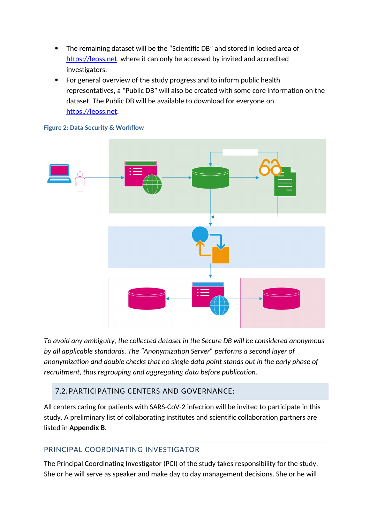- The remaining dataset will be the "Scientific DB" and stored in locked area of https://leoss.net, where it can only be accessed by invited and accredited investigators.
- For general overview of the study progress and to inform public health representatives, a "Public DB" will also be created with some core information on the dataset. The Public DB will be available to download for everyone on https://leoss.net.



#### **Figure 2: Data Security & Workflow**

*To avoid any ambiguity, the collected dataset in the Secure DB will be considered anonymous by all applicable standards. The "Anonymization Server" performs a second layer of anonymization and double checks that no single data point stands out in the early phase of recruitment, thus regrouping and aggregating data before publication.*

#### 7.2. PARTICIPATING CENTERS AND GOVERNANCE:

All centers caring for patients with SARS-CoV-2 infection will be invited to participate in this study. A preliminary list of collaborating institutes and scientific collaboration partners are listed in **Appendix B**.

#### PRINCIPAL COORDINATING INVESTIGATOR

The Principal Coordinating Investigator (PCI) of the study takes responsibility for the study. She or he will serve as speaker and make day to day management decisions. She or he will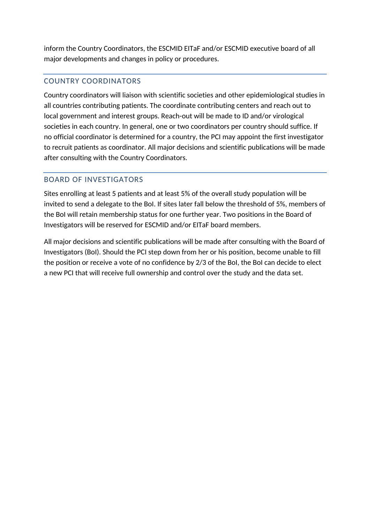inform the Country Coordinators, the ESCMID EITaF and/or ESCMID executive board of all major developments and changes in policy or procedures.

#### COUNTRY COORDINATORS

Country coordinators will liaison with scientific societies and other epidemiological studies in all countries contributing patients. The coordinate contributing centers and reach out to local government and interest groups. Reach-out will be made to ID and/or virological societies in each country. In general, one or two coordinators per country should suffice. If no official coordinator is determined for a country, the PCI may appoint the first investigator to recruit patients as coordinator. All major decisions and scientific publications will be made after consulting with the Country Coordinators.

#### BOARD OF INVESTIGATORS

Sites enrolling at least 5 patients and at least 5% of the overall study population will be invited to send a delegate to the BoI. If sites later fall below the threshold of 5%, members of the BoI will retain membership status for one further year. Two positions in the Board of Investigators will be reserved for ESCMID and/or EITaF board members.

All major decisions and scientific publications will be made after consulting with the Board of Investigators (BoI). Should the PCI step down from her or his position, become unable to fill the position or receive a vote of no confidence by 2/3 of the BoI, the BoI can decide to elect a new PCI that will receive full ownership and control over the study and the data set.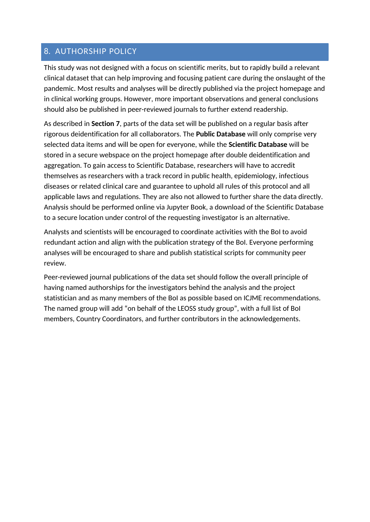#### 8. AUTHORSHIP POLICY

This study was not designed with a focus on scientific merits, but to rapidly build a relevant clinical dataset that can help improving and focusing patient care during the onslaught of the pandemic. Most results and analyses will be directly published via the project homepage and in clinical working groups. However, more important observations and general conclusions should also be published in peer-reviewed journals to further extend readership.

As described in **Section 7**, parts of the data set will be published on a regular basis after rigorous deidentification for all collaborators. The **Public Database** will only comprise very selected data items and will be open for everyone, while the **Scientific Database** will be stored in a secure webspace on the project homepage after double deidentification and aggregation. To gain access to Scientific Database, researchers will have to accredit themselves as researchers with a track record in public health, epidemiology, infectious diseases or related clinical care and guarantee to uphold all rules of this protocol and all applicable laws and regulations. They are also not allowed to further share the data directly. Analysis should be performed online via Jupyter Book, a download of the Scientific Database to a secure location under control of the requesting investigator is an alternative.

Analysts and scientists will be encouraged to coordinate activities with the BoI to avoid redundant action and align with the publication strategy of the BoI. Everyone performing analyses will be encouraged to share and publish statistical scripts for community peer review.

Peer-reviewed journal publications of the data set should follow the overall principle of having named authorships for the investigators behind the analysis and the project statistician and as many members of the BoI as possible based on ICJME recommendations. The named group will add "on behalf of the LEOSS study group", with a full list of BoI members, Country Coordinators, and further contributors in the acknowledgements.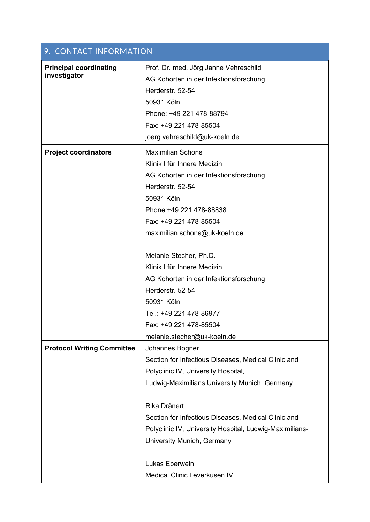| 9. CONTACT INFORMATION                        |                                                                                                                   |
|-----------------------------------------------|-------------------------------------------------------------------------------------------------------------------|
| <b>Principal coordinating</b><br>investigator | Prof. Dr. med. Jörg Janne Vehreschild<br>AG Kohorten in der Infektionsforschung<br>Herderstr. 52-54<br>50931 Köln |
|                                               | Phone: +49 221 478-88794                                                                                          |
|                                               | Fax: +49 221 478-85504                                                                                            |
|                                               | joerg.vehreschild@uk-koeln.de                                                                                     |
| <b>Project coordinators</b>                   | <b>Maximilian Schons</b>                                                                                          |
|                                               | Klinik I für Innere Medizin                                                                                       |
|                                               | AG Kohorten in der Infektionsforschung                                                                            |
|                                               | Herderstr. 52-54                                                                                                  |
|                                               | 50931 Köln                                                                                                        |
|                                               | Phone: +49 221 478-88838                                                                                          |
|                                               | Fax: +49 221 478-85504                                                                                            |
|                                               | maximilian.schons@uk-koeln.de                                                                                     |
|                                               | Melanie Stecher, Ph.D.                                                                                            |
|                                               | Klinik I für Innere Medizin                                                                                       |
|                                               | AG Kohorten in der Infektionsforschung                                                                            |
|                                               | Herderstr. 52-54                                                                                                  |
|                                               | 50931 Köln                                                                                                        |
|                                               | Tel.: +49 221 478-86977                                                                                           |
|                                               | Fax: +49 221 478-85504                                                                                            |
|                                               | melanie.stecher@uk-koeln.de                                                                                       |
| <b>Protocol Writing Committee</b>             | Johannes Bogner                                                                                                   |
|                                               | Section for Infectious Diseases, Medical Clinic and                                                               |
|                                               | Polyclinic IV, University Hospital,                                                                               |
|                                               | Ludwig-Maximilians University Munich, Germany                                                                     |
|                                               | Rika Dränert                                                                                                      |
|                                               | Section for Infectious Diseases, Medical Clinic and                                                               |
|                                               | Polyclinic IV, University Hospital, Ludwig-Maximilians-                                                           |
|                                               | University Munich, Germany                                                                                        |
|                                               | Lukas Eberwein                                                                                                    |
|                                               | Medical Clinic Leverkusen IV                                                                                      |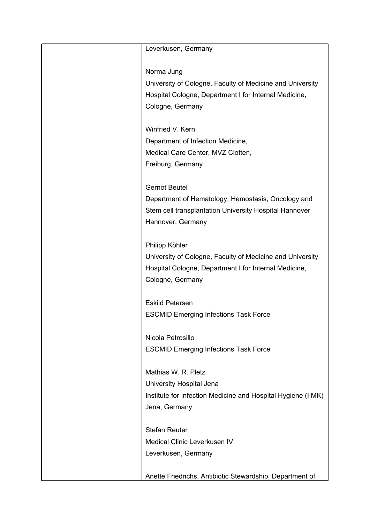| Leverkusen, Germany                                          |
|--------------------------------------------------------------|
|                                                              |
|                                                              |
| Norma Jung                                                   |
| University of Cologne, Faculty of Medicine and University    |
| Hospital Cologne, Department I for Internal Medicine,        |
| Cologne, Germany                                             |
|                                                              |
| Winfried V. Kern                                             |
| Department of Infection Medicine,                            |
| Medical Care Center, MVZ Clotten,                            |
| Freiburg, Germany                                            |
|                                                              |
| <b>Gernot Beutel</b>                                         |
| Department of Hematology, Hemostasis, Oncology and           |
| Stem cell transplantation University Hospital Hannover       |
| Hannover, Germany                                            |
|                                                              |
| Philipp Köhler                                               |
| University of Cologne, Faculty of Medicine and University    |
| Hospital Cologne, Department I for Internal Medicine,        |
| Cologne, Germany                                             |
|                                                              |
| <b>Eskild Petersen</b>                                       |
| <b>ESCMID Emerging Infections Task Force</b>                 |
|                                                              |
| Nicola Petrosillo                                            |
| <b>ESCMID Emerging Infections Task Force</b>                 |
|                                                              |
| Mathias W. R. Pletz                                          |
| University Hospital Jena                                     |
| Institute for Infection Medicine and Hospital Hygiene (IIMK) |
| Jena, Germany                                                |
|                                                              |
| <b>Stefan Reuter</b>                                         |
| Medical Clinic Leverkusen IV                                 |
| Leverkusen, Germany                                          |
|                                                              |
|                                                              |
| Anette Friedrichs, Antibiotic Stewardship, Department of     |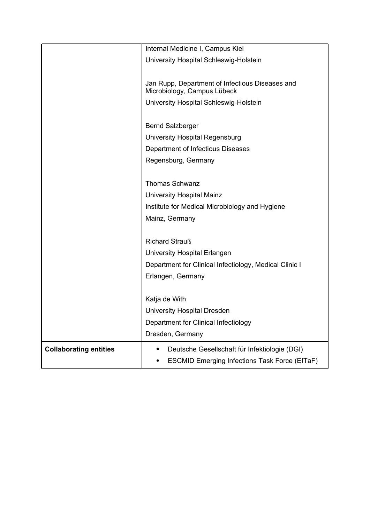|                               | Internal Medicine I, Campus Kiel                                               |
|-------------------------------|--------------------------------------------------------------------------------|
|                               | University Hospital Schleswig-Holstein                                         |
|                               |                                                                                |
|                               | Jan Rupp, Department of Infectious Diseases and<br>Microbiology, Campus Lübeck |
|                               | University Hospital Schleswig-Holstein                                         |
|                               |                                                                                |
|                               | <b>Bernd Salzberger</b>                                                        |
|                               | University Hospital Regensburg                                                 |
|                               | Department of Infectious Diseases                                              |
|                               | Regensburg, Germany                                                            |
|                               |                                                                                |
|                               | <b>Thomas Schwanz</b>                                                          |
|                               | University Hospital Mainz                                                      |
|                               | Institute for Medical Microbiology and Hygiene                                 |
|                               | Mainz, Germany                                                                 |
|                               |                                                                                |
|                               | <b>Richard Strauß</b>                                                          |
|                               | University Hospital Erlangen                                                   |
|                               | Department for Clinical Infectiology, Medical Clinic I                         |
|                               | Erlangen, Germany                                                              |
|                               |                                                                                |
|                               | Katja de With                                                                  |
|                               | <b>University Hospital Dresden</b>                                             |
|                               | Department for Clinical Infectiology                                           |
|                               | Dresden, Germany                                                               |
| <b>Collaborating entities</b> | Deutsche Gesellschaft für Infektiologie (DGI)                                  |
|                               | <b>ESCMID Emerging Infections Task Force (EITaF)</b>                           |